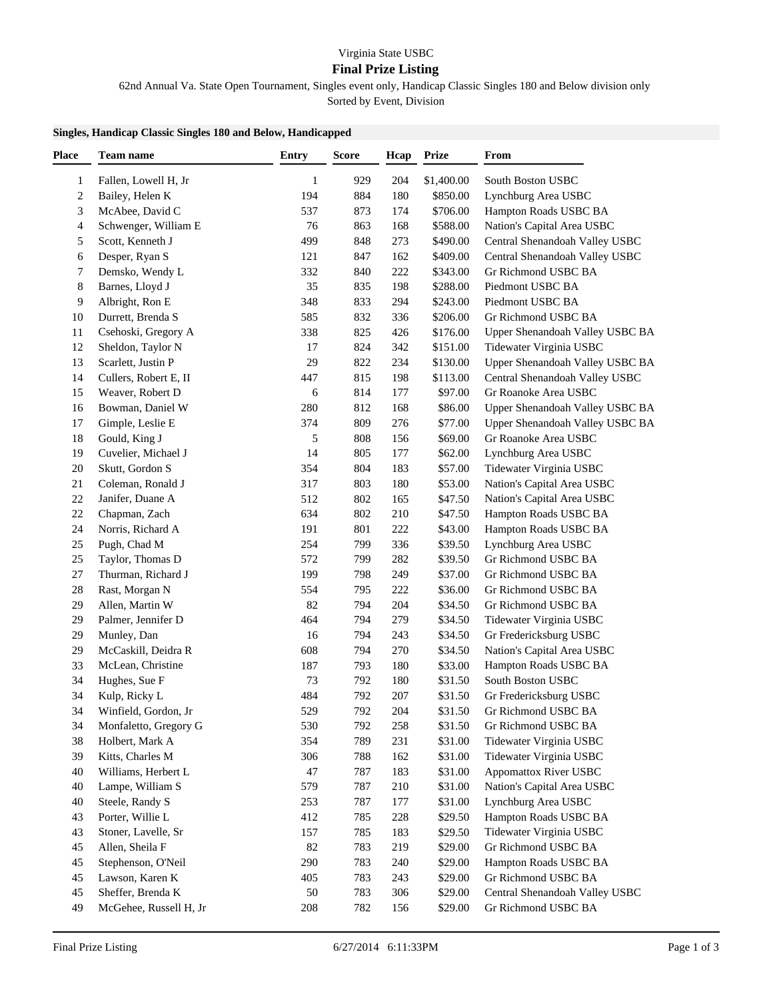## **Final Prize Listing**

62nd Annual Va. State Open Tournament, Singles event only, Handicap Classic Singles 180 and Below division only Sorted by Event, Division

## **Singles, Handicap Classic Singles 180 and Below, Handicapped**

| Team name              | <b>Entry</b>                                                                                                                                                                                                                                                                                                                                                                                                                                                | <b>Score</b>                                                                         | Hcap                                                                                                  | <b>Prize</b>                                                                                          | From                                                                                                                                                                                                                                                                   |
|------------------------|-------------------------------------------------------------------------------------------------------------------------------------------------------------------------------------------------------------------------------------------------------------------------------------------------------------------------------------------------------------------------------------------------------------------------------------------------------------|--------------------------------------------------------------------------------------|-------------------------------------------------------------------------------------------------------|-------------------------------------------------------------------------------------------------------|------------------------------------------------------------------------------------------------------------------------------------------------------------------------------------------------------------------------------------------------------------------------|
| Fallen, Lowell H, Jr   | $\mathbf{1}$                                                                                                                                                                                                                                                                                                                                                                                                                                                | 929                                                                                  | 204                                                                                                   | \$1,400.00                                                                                            | South Boston USBC                                                                                                                                                                                                                                                      |
|                        |                                                                                                                                                                                                                                                                                                                                                                                                                                                             |                                                                                      |                                                                                                       |                                                                                                       | Lynchburg Area USBC                                                                                                                                                                                                                                                    |
|                        |                                                                                                                                                                                                                                                                                                                                                                                                                                                             |                                                                                      |                                                                                                       |                                                                                                       | Hampton Roads USBC BA                                                                                                                                                                                                                                                  |
|                        |                                                                                                                                                                                                                                                                                                                                                                                                                                                             |                                                                                      |                                                                                                       |                                                                                                       | Nation's Capital Area USBC                                                                                                                                                                                                                                             |
|                        |                                                                                                                                                                                                                                                                                                                                                                                                                                                             |                                                                                      |                                                                                                       |                                                                                                       | Central Shenandoah Valley USBC                                                                                                                                                                                                                                         |
|                        |                                                                                                                                                                                                                                                                                                                                                                                                                                                             |                                                                                      |                                                                                                       |                                                                                                       | Central Shenandoah Valley USBC                                                                                                                                                                                                                                         |
|                        |                                                                                                                                                                                                                                                                                                                                                                                                                                                             |                                                                                      |                                                                                                       |                                                                                                       | Gr Richmond USBC BA                                                                                                                                                                                                                                                    |
|                        |                                                                                                                                                                                                                                                                                                                                                                                                                                                             |                                                                                      |                                                                                                       |                                                                                                       | Piedmont USBC BA                                                                                                                                                                                                                                                       |
|                        |                                                                                                                                                                                                                                                                                                                                                                                                                                                             |                                                                                      |                                                                                                       |                                                                                                       | Piedmont USBC BA                                                                                                                                                                                                                                                       |
|                        |                                                                                                                                                                                                                                                                                                                                                                                                                                                             |                                                                                      |                                                                                                       |                                                                                                       | Gr Richmond USBC BA                                                                                                                                                                                                                                                    |
|                        | 338                                                                                                                                                                                                                                                                                                                                                                                                                                                         | 825                                                                                  | 426                                                                                                   |                                                                                                       | Upper Shenandoah Valley USBC BA                                                                                                                                                                                                                                        |
|                        | 17                                                                                                                                                                                                                                                                                                                                                                                                                                                          | 824                                                                                  | 342                                                                                                   |                                                                                                       | Tidewater Virginia USBC                                                                                                                                                                                                                                                |
|                        | 29                                                                                                                                                                                                                                                                                                                                                                                                                                                          | 822                                                                                  | 234                                                                                                   |                                                                                                       | Upper Shenandoah Valley USBC BA                                                                                                                                                                                                                                        |
|                        |                                                                                                                                                                                                                                                                                                                                                                                                                                                             |                                                                                      |                                                                                                       |                                                                                                       | Central Shenandoah Valley USBC                                                                                                                                                                                                                                         |
|                        | 6                                                                                                                                                                                                                                                                                                                                                                                                                                                           |                                                                                      |                                                                                                       |                                                                                                       | Gr Roanoke Area USBC                                                                                                                                                                                                                                                   |
| Bowman, Daniel W       | 280                                                                                                                                                                                                                                                                                                                                                                                                                                                         | 812                                                                                  | 168                                                                                                   |                                                                                                       | Upper Shenandoah Valley USBC BA                                                                                                                                                                                                                                        |
|                        |                                                                                                                                                                                                                                                                                                                                                                                                                                                             |                                                                                      |                                                                                                       |                                                                                                       | Upper Shenandoah Valley USBC BA                                                                                                                                                                                                                                        |
|                        | 5                                                                                                                                                                                                                                                                                                                                                                                                                                                           |                                                                                      | 156                                                                                                   |                                                                                                       | Gr Roanoke Area USBC                                                                                                                                                                                                                                                   |
|                        |                                                                                                                                                                                                                                                                                                                                                                                                                                                             |                                                                                      |                                                                                                       |                                                                                                       | Lynchburg Area USBC                                                                                                                                                                                                                                                    |
|                        |                                                                                                                                                                                                                                                                                                                                                                                                                                                             |                                                                                      |                                                                                                       |                                                                                                       | Tidewater Virginia USBC                                                                                                                                                                                                                                                |
|                        | 317                                                                                                                                                                                                                                                                                                                                                                                                                                                         | 803                                                                                  | 180                                                                                                   |                                                                                                       | Nation's Capital Area USBC                                                                                                                                                                                                                                             |
|                        | 512                                                                                                                                                                                                                                                                                                                                                                                                                                                         | 802                                                                                  | 165                                                                                                   |                                                                                                       | Nation's Capital Area USBC                                                                                                                                                                                                                                             |
|                        | 634                                                                                                                                                                                                                                                                                                                                                                                                                                                         | 802                                                                                  | 210                                                                                                   |                                                                                                       | Hampton Roads USBC BA                                                                                                                                                                                                                                                  |
|                        | 191                                                                                                                                                                                                                                                                                                                                                                                                                                                         | 801                                                                                  |                                                                                                       |                                                                                                       | Hampton Roads USBC BA                                                                                                                                                                                                                                                  |
| Pugh, Chad M           | 254                                                                                                                                                                                                                                                                                                                                                                                                                                                         | 799                                                                                  | 336                                                                                                   | \$39.50                                                                                               | Lynchburg Area USBC                                                                                                                                                                                                                                                    |
| Taylor, Thomas D       | 572                                                                                                                                                                                                                                                                                                                                                                                                                                                         | 799                                                                                  | 282                                                                                                   | \$39.50                                                                                               | Gr Richmond USBC BA                                                                                                                                                                                                                                                    |
| Thurman, Richard J     | 199                                                                                                                                                                                                                                                                                                                                                                                                                                                         | 798                                                                                  | 249                                                                                                   | \$37.00                                                                                               | Gr Richmond USBC BA                                                                                                                                                                                                                                                    |
| Rast, Morgan N         | 554                                                                                                                                                                                                                                                                                                                                                                                                                                                         | 795                                                                                  | 222                                                                                                   | \$36.00                                                                                               | Gr Richmond USBC BA                                                                                                                                                                                                                                                    |
| Allen, Martin W        | 82                                                                                                                                                                                                                                                                                                                                                                                                                                                          | 794                                                                                  | 204                                                                                                   | \$34.50                                                                                               | Gr Richmond USBC BA                                                                                                                                                                                                                                                    |
| Palmer, Jennifer D     | 464                                                                                                                                                                                                                                                                                                                                                                                                                                                         | 794                                                                                  | 279                                                                                                   | \$34.50                                                                                               | Tidewater Virginia USBC                                                                                                                                                                                                                                                |
| Munley, Dan            | 16                                                                                                                                                                                                                                                                                                                                                                                                                                                          | 794                                                                                  | 243                                                                                                   | \$34.50                                                                                               | Gr Fredericksburg USBC                                                                                                                                                                                                                                                 |
| McCaskill, Deidra R    | 608                                                                                                                                                                                                                                                                                                                                                                                                                                                         | 794                                                                                  | 270                                                                                                   | \$34.50                                                                                               | Nation's Capital Area USBC                                                                                                                                                                                                                                             |
| McLean, Christine      | 187                                                                                                                                                                                                                                                                                                                                                                                                                                                         | 793                                                                                  | 180                                                                                                   | \$33.00                                                                                               | Hampton Roads USBC BA                                                                                                                                                                                                                                                  |
| Hughes, Sue F          | 73                                                                                                                                                                                                                                                                                                                                                                                                                                                          | 792                                                                                  | 180                                                                                                   | \$31.50                                                                                               | South Boston USBC                                                                                                                                                                                                                                                      |
| Kulp, Ricky L          | 484                                                                                                                                                                                                                                                                                                                                                                                                                                                         | 792                                                                                  | 207                                                                                                   | \$31.50                                                                                               | Gr Fredericksburg USBC                                                                                                                                                                                                                                                 |
| Winfield, Gordon, Jr   | 529                                                                                                                                                                                                                                                                                                                                                                                                                                                         | 792                                                                                  | 204                                                                                                   | \$31.50                                                                                               | Gr Richmond USBC BA                                                                                                                                                                                                                                                    |
| Monfaletto, Gregory G  | 530                                                                                                                                                                                                                                                                                                                                                                                                                                                         | 792                                                                                  | 258                                                                                                   | \$31.50                                                                                               | Gr Richmond USBC BA                                                                                                                                                                                                                                                    |
| Holbert, Mark A        | 354                                                                                                                                                                                                                                                                                                                                                                                                                                                         | 789                                                                                  | 231                                                                                                   | \$31.00                                                                                               | Tidewater Virginia USBC                                                                                                                                                                                                                                                |
| Kitts, Charles M       | 306                                                                                                                                                                                                                                                                                                                                                                                                                                                         | 788                                                                                  | 162                                                                                                   | \$31.00                                                                                               | Tidewater Virginia USBC                                                                                                                                                                                                                                                |
| Williams, Herbert L    | 47                                                                                                                                                                                                                                                                                                                                                                                                                                                          | 787                                                                                  | 183                                                                                                   | \$31.00                                                                                               | <b>Appomattox River USBC</b>                                                                                                                                                                                                                                           |
| Lampe, William S       | 579                                                                                                                                                                                                                                                                                                                                                                                                                                                         | 787                                                                                  | 210                                                                                                   | \$31.00                                                                                               | Nation's Capital Area USBC                                                                                                                                                                                                                                             |
| Steele, Randy S        | 253                                                                                                                                                                                                                                                                                                                                                                                                                                                         | 787                                                                                  | 177                                                                                                   | \$31.00                                                                                               | Lynchburg Area USBC                                                                                                                                                                                                                                                    |
| Porter, Willie L       | 412                                                                                                                                                                                                                                                                                                                                                                                                                                                         | 785                                                                                  | 228                                                                                                   | \$29.50                                                                                               | Hampton Roads USBC BA                                                                                                                                                                                                                                                  |
| Stoner, Lavelle, Sr    | 157                                                                                                                                                                                                                                                                                                                                                                                                                                                         | 785                                                                                  | 183                                                                                                   | \$29.50                                                                                               | Tidewater Virginia USBC                                                                                                                                                                                                                                                |
| Allen, Sheila F        | 82                                                                                                                                                                                                                                                                                                                                                                                                                                                          | 783                                                                                  | 219                                                                                                   | \$29.00                                                                                               | Gr Richmond USBC BA                                                                                                                                                                                                                                                    |
| Stephenson, O'Neil     | 290                                                                                                                                                                                                                                                                                                                                                                                                                                                         | 783                                                                                  | 240                                                                                                   | \$29.00                                                                                               | Hampton Roads USBC BA                                                                                                                                                                                                                                                  |
| Lawson, Karen K        | 405                                                                                                                                                                                                                                                                                                                                                                                                                                                         | 783                                                                                  | 243                                                                                                   | \$29.00                                                                                               | Gr Richmond USBC BA                                                                                                                                                                                                                                                    |
| Sheffer, Brenda K      | 50                                                                                                                                                                                                                                                                                                                                                                                                                                                          | 783                                                                                  | 306                                                                                                   | \$29.00                                                                                               | Central Shenandoah Valley USBC                                                                                                                                                                                                                                         |
| McGehee, Russell H, Jr | 208                                                                                                                                                                                                                                                                                                                                                                                                                                                         | 782                                                                                  | 156                                                                                                   | \$29.00                                                                                               | Gr Richmond USBC BA                                                                                                                                                                                                                                                    |
|                        | Bailey, Helen K<br>McAbee, David C<br>Schwenger, William E<br>Scott, Kenneth J<br>Desper, Ryan S<br>Demsko, Wendy L<br>Barnes, Lloyd J<br>Albright, Ron E<br>Durrett, Brenda S<br>Csehoski, Gregory A<br>Sheldon, Taylor N<br>Scarlett, Justin P<br>Cullers, Robert E, II<br>Weaver, Robert D<br>Gimple, Leslie E<br>Gould, King J<br>Cuvelier, Michael J<br>Skutt, Gordon S<br>Coleman, Ronald J<br>Janifer, Duane A<br>Chapman, Zach<br>Norris, Richard A | 194<br>537<br>76<br>499<br>121<br>332<br>35<br>348<br>585<br>447<br>374<br>14<br>354 | 884<br>873<br>863<br>848<br>847<br>840<br>835<br>833<br>832<br>815<br>814<br>809<br>808<br>805<br>804 | 180<br>174<br>168<br>273<br>162<br>222<br>198<br>294<br>336<br>198<br>177<br>276<br>177<br>183<br>222 | \$850.00<br>\$706.00<br>\$588.00<br>\$490.00<br>\$409.00<br>\$343.00<br>\$288.00<br>\$243.00<br>\$206.00<br>\$176.00<br>\$151.00<br>\$130.00<br>\$113.00<br>\$97.00<br>\$86.00<br>\$77.00<br>\$69.00<br>\$62.00<br>\$57.00<br>\$53.00<br>\$47.50<br>\$47.50<br>\$43.00 |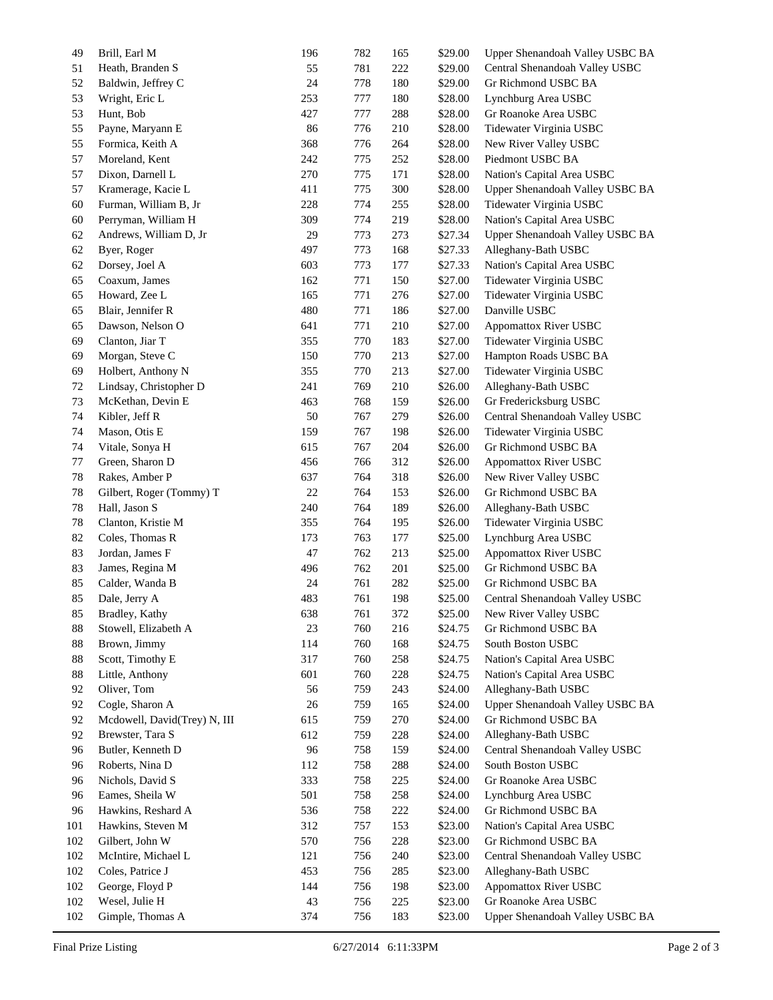| 49  | Brill, Earl M                | 196 | 782 | 165 | \$29.00 | Upper Shenandoah Valley USBC BA |
|-----|------------------------------|-----|-----|-----|---------|---------------------------------|
| 51  | Heath, Branden S             | 55  | 781 | 222 | \$29.00 | Central Shenandoah Valley USBC  |
| 52  | Baldwin, Jeffrey C           | 24  | 778 | 180 | \$29.00 | Gr Richmond USBC BA             |
| 53  | Wright, Eric L               | 253 | 777 | 180 | \$28.00 | Lynchburg Area USBC             |
| 53  | Hunt, Bob                    | 427 | 777 | 288 | \$28.00 | Gr Roanoke Area USBC            |
| 55  | Payne, Maryann E             | 86  | 776 | 210 | \$28.00 | Tidewater Virginia USBC         |
| 55  | Formica, Keith A             | 368 | 776 | 264 | \$28.00 | New River Valley USBC           |
| 57  | Moreland, Kent               | 242 | 775 | 252 | \$28.00 | Piedmont USBC BA                |
| 57  | Dixon, Darnell L             | 270 | 775 | 171 | \$28.00 | Nation's Capital Area USBC      |
| 57  | Kramerage, Kacie L           | 411 | 775 | 300 | \$28.00 | Upper Shenandoah Valley USBC BA |
| 60  | Furman, William B, Jr        | 228 | 774 | 255 | \$28.00 | Tidewater Virginia USBC         |
| 60  | Perryman, William H          | 309 | 774 | 219 | \$28.00 | Nation's Capital Area USBC      |
| 62  | Andrews, William D, Jr       | 29  | 773 | 273 | \$27.34 | Upper Shenandoah Valley USBC BA |
| 62  | Byer, Roger                  | 497 | 773 | 168 | \$27.33 | Alleghany-Bath USBC             |
| 62  | Dorsey, Joel A               | 603 | 773 | 177 | \$27.33 | Nation's Capital Area USBC      |
| 65  | Coaxum, James                | 162 | 771 | 150 | \$27.00 | Tidewater Virginia USBC         |
| 65  | Howard, Zee L                | 165 | 771 | 276 | \$27.00 | Tidewater Virginia USBC         |
| 65  | Blair, Jennifer R            | 480 | 771 | 186 | \$27.00 | Danville USBC                   |
| 65  | Dawson, Nelson O             | 641 | 771 | 210 | \$27.00 | Appomattox River USBC           |
| 69  | Clanton, Jiar T              | 355 | 770 | 183 | \$27.00 | Tidewater Virginia USBC         |
| 69  | Morgan, Steve C              | 150 | 770 | 213 | \$27.00 | Hampton Roads USBC BA           |
| 69  | Holbert, Anthony N           | 355 | 770 | 213 | \$27.00 | Tidewater Virginia USBC         |
| 72  | Lindsay, Christopher D       | 241 | 769 | 210 | \$26.00 | Alleghany-Bath USBC             |
| 73  | McKethan, Devin E            | 463 | 768 | 159 | \$26.00 | Gr Fredericksburg USBC          |
| 74  | Kibler, Jeff R               | 50  | 767 | 279 | \$26.00 | Central Shenandoah Valley USBC  |
| 74  | Mason, Otis E                | 159 | 767 | 198 | \$26.00 | Tidewater Virginia USBC         |
| 74  | Vitale, Sonya H              | 615 | 767 | 204 | \$26.00 | Gr Richmond USBC BA             |
| 77  | Green, Sharon D              | 456 | 766 | 312 | \$26.00 | <b>Appomattox River USBC</b>    |
| 78  | Rakes, Amber P               | 637 | 764 | 318 | \$26.00 | New River Valley USBC           |
| 78  | Gilbert, Roger (Tommy) T     | 22  | 764 | 153 | \$26.00 | Gr Richmond USBC BA             |
| 78  | Hall, Jason S                | 240 | 764 | 189 | \$26.00 | Alleghany-Bath USBC             |
| 78  | Clanton, Kristie M           | 355 | 764 | 195 | \$26.00 | Tidewater Virginia USBC         |
| 82  | Coles, Thomas R              | 173 | 763 | 177 | \$25.00 | Lynchburg Area USBC             |
| 83  | Jordan, James F              | 47  | 762 | 213 | \$25.00 | <b>Appomattox River USBC</b>    |
| 83  | James, Regina M              | 496 | 762 | 201 | \$25.00 | Gr Richmond USBC BA             |
| 85  | Calder, Wanda B              | 24  | 761 | 282 | \$25.00 | Gr Richmond USBC BA             |
| 85  | Dale, Jerry A                | 483 | 761 | 198 | \$25.00 | Central Shenandoah Valley USBC  |
| 85  | Bradley, Kathy               | 638 | 761 | 372 | \$25.00 | New River Valley USBC           |
| 88  | Stowell, Elizabeth A         | 23  | 760 | 216 | \$24.75 | Gr Richmond USBC BA             |
| 88  | Brown, Jimmy                 | 114 | 760 | 168 | \$24.75 | South Boston USBC               |
| 88  | Scott, Timothy E             | 317 | 760 | 258 | \$24.75 | Nation's Capital Area USBC      |
| 88  | Little, Anthony              | 601 | 760 | 228 | \$24.75 | Nation's Capital Area USBC      |
| 92  | Oliver, Tom                  | 56  | 759 | 243 | \$24.00 | Alleghany-Bath USBC             |
| 92  | Cogle, Sharon A              | 26  | 759 | 165 | \$24.00 | Upper Shenandoah Valley USBC BA |
| 92  | Mcdowell, David(Trey) N, III | 615 | 759 | 270 | \$24.00 | Gr Richmond USBC BA             |
| 92  | Brewster, Tara S             | 612 | 759 | 228 | \$24.00 | Alleghany-Bath USBC             |
| 96  | Butler, Kenneth D            | 96  | 758 | 159 | \$24.00 | Central Shenandoah Valley USBC  |
| 96  | Roberts, Nina D              | 112 | 758 | 288 | \$24.00 | South Boston USBC               |
| 96  | Nichols, David S             | 333 | 758 | 225 | \$24.00 | Gr Roanoke Area USBC            |
| 96  | Eames, Sheila W              | 501 | 758 | 258 | \$24.00 | Lynchburg Area USBC             |
| 96  | Hawkins, Reshard A           | 536 | 758 | 222 | \$24.00 | Gr Richmond USBC BA             |
| 101 | Hawkins, Steven M            | 312 | 757 | 153 | \$23.00 | Nation's Capital Area USBC      |
| 102 | Gilbert, John W              | 570 | 756 | 228 | \$23.00 | Gr Richmond USBC BA             |
| 102 | McIntire, Michael L          | 121 | 756 | 240 | \$23.00 | Central Shenandoah Valley USBC  |
| 102 | Coles, Patrice J             | 453 | 756 | 285 | \$23.00 | Alleghany-Bath USBC             |
| 102 | George, Floyd P              | 144 | 756 | 198 | \$23.00 | <b>Appomattox River USBC</b>    |
| 102 | Wesel, Julie H               | 43  | 756 | 225 | \$23.00 | Gr Roanoke Area USBC            |
| 102 | Gimple, Thomas A             | 374 | 756 | 183 | \$23.00 | Upper Shenandoah Valley USBC BA |
|     |                              |     |     |     |         |                                 |